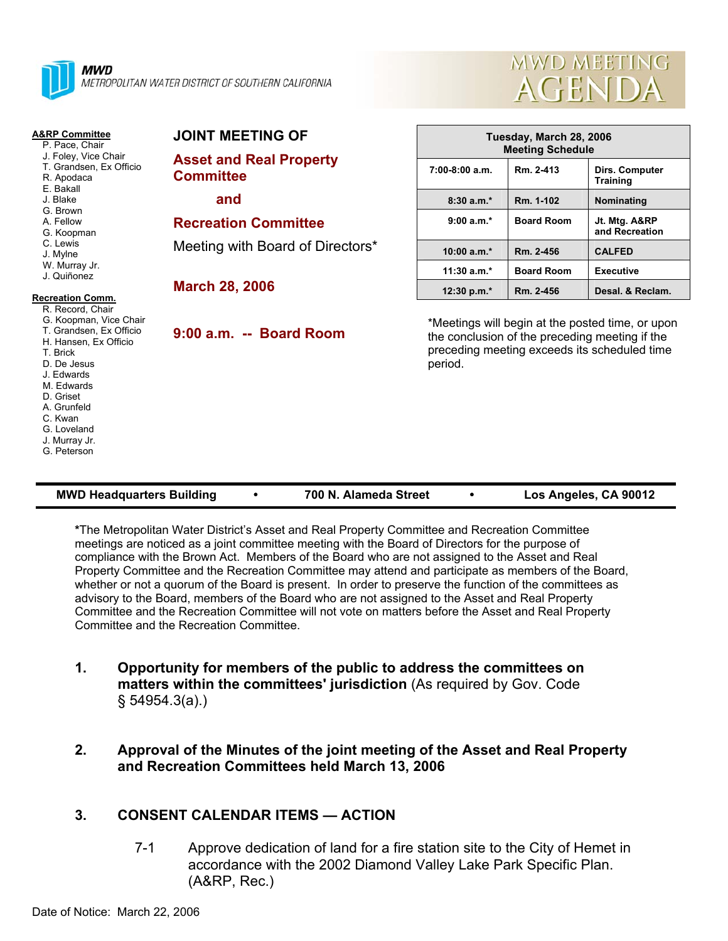



| <b>A&amp;RP Committee</b><br>P. Pace, Chair<br>J. Foley, Vice Chair<br>T. Grandsen, Ex Officio<br>R. Apodaca<br>E. Bakall                                                                                                                                              | <b>JOINT MEETING OF</b>                            |                  | Tuesday, March 28, 2006<br><b>Meeting Schedule</b> |                                                                                                                                                    |  |
|------------------------------------------------------------------------------------------------------------------------------------------------------------------------------------------------------------------------------------------------------------------------|----------------------------------------------------|------------------|----------------------------------------------------|----------------------------------------------------------------------------------------------------------------------------------------------------|--|
|                                                                                                                                                                                                                                                                        | <b>Asset and Real Property</b><br><b>Committee</b> | $7:00-8:00$ a.m. | Rm. 2-413                                          | Dirs. Computer<br><b>Training</b>                                                                                                                  |  |
| J. Blake                                                                                                                                                                                                                                                               | and                                                | $8:30a.m.*$      | Rm. 1-102                                          | Nominating                                                                                                                                         |  |
| G. Brown<br>A. Fellow<br>G. Koopman                                                                                                                                                                                                                                    | <b>Recreation Committee</b>                        | $9:00 a.m.*$     | <b>Board Room</b>                                  | Jt. Mtg. A&RP<br>and Recreation                                                                                                                    |  |
| C. Lewis<br>J. Mylne                                                                                                                                                                                                                                                   | Meeting with Board of Directors*                   | $10:00 a.m.*$    | Rm. 2-456                                          | <b>CALFED</b>                                                                                                                                      |  |
| W. Murray Jr.<br>J. Quiñonez                                                                                                                                                                                                                                           |                                                    | $11:30$ a.m.*    | <b>Board Room</b>                                  | <b>Executive</b>                                                                                                                                   |  |
| <b>Recreation Comm.</b><br>R. Record, Chair<br>G. Koopman, Vice Chair<br>T. Grandsen, Ex Officio<br>H. Hansen, Ex Officio<br>T. Brick<br>D. De Jesus<br>J. Edwards<br>M. Edwards<br>D. Griset<br>A. Grunfeld<br>C. Kwan<br>G. Loveland<br>J. Murray Jr.<br>G. Peterson | <b>March 28, 2006</b>                              | 12:30 p.m.*      | Rm. 2-456                                          | Desal. & Reclam.                                                                                                                                   |  |
|                                                                                                                                                                                                                                                                        | 9:00 a.m. -- Board Room                            | period.          |                                                    | *Meetings will begin at the posted time, or upon<br>the conclusion of the preceding meeting if the<br>preceding meeting exceeds its scheduled time |  |

**\***The Metropolitan Water District's Asset and Real Property Committee and Recreation Committee meetings are noticed as a joint committee meeting with the Board of Directors for the purpose of compliance with the Brown Act. Members of the Board who are not assigned to the Asset and Real Property Committee and the Recreation Committee may attend and participate as members of the Board, whether or not a quorum of the Board is present. In order to preserve the function of the committees as advisory to the Board, members of the Board who are not assigned to the Asset and Real Property Committee and the Recreation Committee will not vote on matters before the Asset and Real Property Committee and the Recreation Committee.

**1. Opportunity for members of the public to address the committees on matters within the committees' jurisdiction** (As required by Gov. Code § 54954.3(a).)

## **2. Approval of the Minutes of the joint meeting of the Asset and Real Property and Recreation Committees held March 13, 2006**

# **3. CONSENT CALENDAR ITEMS — ACTION**

7-1 Approve dedication of land for a fire station site to the City of Hemet in accordance with the 2002 Diamond Valley Lake Park Specific Plan. (A&RP, Rec.)